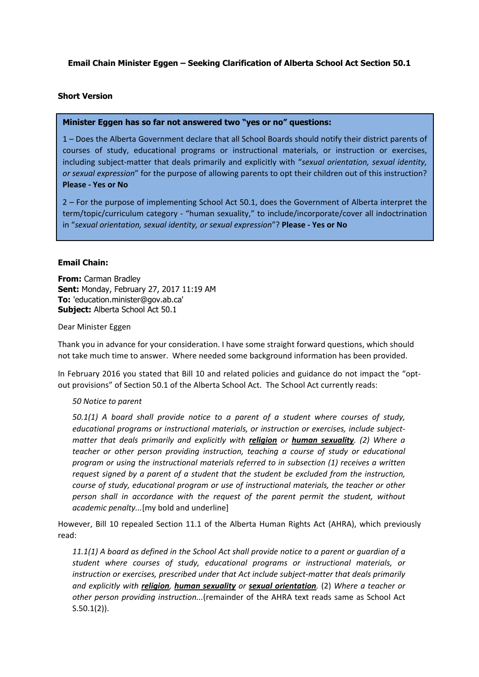# **Email Chain Minister Eggen – Seeking Clarification of Alberta School Act Section 50.1**

## **Short Version**

## **Minister Eggen has so far not answered two "yes or no" questions:**

1 – Does the Alberta Government declare that all School Boards should notify their district parents of courses of study, educational programs or instructional materials, or instruction or exercises, including subject-matter that deals primarily and explicitly with "*sexual orientation, sexual identity, or sexual expression*" for the purpose of allowing parents to opt their children out of this instruction? **Please - Yes or No**

2 – For the purpose of implementing School Act 50.1, does the Government of Alberta interpret the term/topic/curriculum category - "human sexuality," to include/incorporate/cover all indoctrination in "*sexual orientation, sexual identity, or sexual expression*"? **Please - Yes or No**

## **Email Chain:**

**From:** Carman Bradley **Sent:** Monday, February 27, 2017 11:19 AM **To:** 'education.minister@gov.ab.ca' **Subject:** Alberta School Act 50.1

### Dear Minister Eggen

Thank you in advance for your consideration. I have some straight forward questions, which should not take much time to answer. Where needed some background information has been provided.

In February 2016 you stated that Bill 10 and related policies and guidance do not impact the "optout provisions" of Section 50.1 of the Alberta School Act. The School Act currently reads:

### *50 Notice to parent*

*50.1(1) A board shall provide notice to a parent of a student where courses of study, educational programs or instructional materials, or instruction or exercises, include subjectmatter that deals primarily and explicitly with religion or human sexuality. (2) Where a teacher or other person providing instruction, teaching a course of study or educational program or using the instructional materials referred to in subsection (1) receives a written request signed by a parent of a student that the student be excluded from the instruction, course of study, educational program or use of instructional materials, the teacher or other person shall in accordance with the request of the parent permit the student, without academic penalty...*[my bold and underline]

However, Bill 10 repealed Section 11.1 of the Alberta Human Rights Act (AHRA), which previously read:

*11.1(1) A board as defined in the School Act shall provide notice to a parent or guardian of a student where courses of study, educational programs or instructional materials, or instruction or exercises, prescribed under that Act include subject-matter that deals primarily and explicitly with religion, human sexuality or sexual orientation.* (2) *Where a teacher or other person providing instruction...*(remainder of the AHRA text reads same as School Act S.50.1(2)).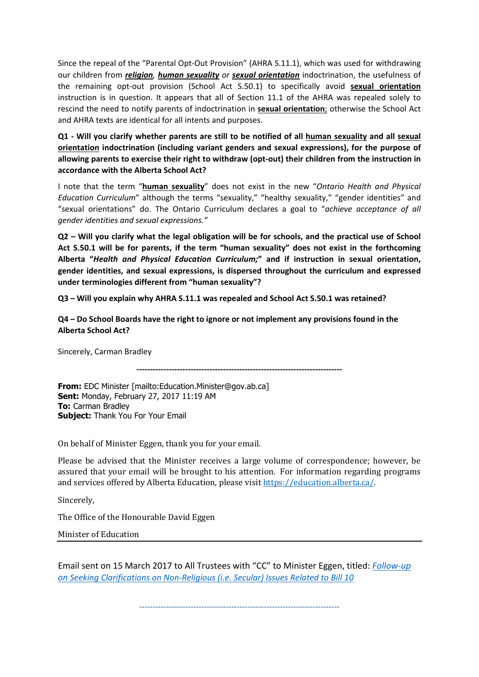Since the repeal of the "Parental Opt-Out Provision" (AHRA S.11.1), which was used for withdrawing our children from *religion, human sexuality or sexual orientation* indoctrination, the usefulness of the remaining opt-out provision (School Act S.50.1) to specifically avoid **sexual orientation** instruction is in question. It appears that all of Section 11.1 of the AHRA was repealed solely to rescind the need to notify parents of indoctrination in **sexual orientation**; otherwise the School Act and AHRA texts are identical for all intents and purposes.

**Q1 - Will you clarify whether parents are still to be notified of all human sexuality and all sexual orientation indoctrination (including variant genders and sexual expressions), for the purpose of allowing parents to exercise their right to withdraw (opt-out) their children from the instruction in accordance with the Alberta School Act?** 

I note that the term "**human sexuality**" does not exist in the new "*Ontario Health and Physical Education Curriculum*" although the terms "sexuality," "healthy sexuality," "gender identities" and "sexual orientations" do. The Ontario Curriculum declares a goal to "*achieve acceptance of all gender identities and sexual expressions."*

**Q2 – Will you clarify what the legal obligation will be for schools, and the practical use of School Act S.50.1 will be for parents, if the term "human sexuality" does not exist in the forthcoming Alberta "***Health and Physical Education Curriculum;***" and if instruction in sexual orientation, gender identities, and sexual expressions, is dispersed throughout the curriculum and expressed under terminologies different from "human sexuality"?**

**Q3 – Will you explain why AHRA S.11.1 was repealed and School Act S.50.1 was retained?**

**Q4 – Do School Boards have the right to ignore or not implement any provisions found in the Alberta School Act?**

Sincerely, Carman Bradley

**----------------------------------------------------------------------------**

**From:** EDC Minister [mailto:Education.Minister@gov.ab.ca] **Sent:** Monday, February 27, 2017 11:19 AM **To:** Carman Bradley **Subject:** Thank You For Your Email

On behalf of Minister Eggen, thank you for your email.

Please be advised that the Minister receives a large volume of correspondence; however, be assured that your email will be brought to his attention. For information regarding programs and services offered by Alberta Education, please visit [https://education.alberta.ca/.](https://education.alberta.ca/)

Sincerely,

The Office of the Honourable David Eggen

Minister of Education

Email sent on 15 March 2017 to All Trustees with "CC" to Minister Eggen, titled: *[Follow-up](https://bill10courtchallenge.org/wp-content/uploads/2020/04/c.-trustees.pdf)  [on Seeking Clarifications on Non-Religious \(i.e. Secular\) Issues Related to Bill 10](https://bill10courtchallenge.org/wp-content/uploads/2020/04/c.-trustees.pdf)*

--------------------------------------------------------------------------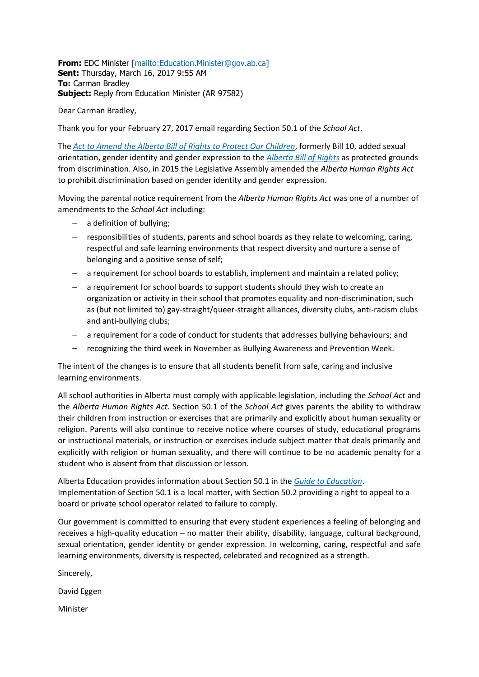**From:** EDC Minister [\[mailto:Education.Minister@gov.ab.ca\]](mailto:Education.Minister@gov.ab.ca) **Sent:** Thursday, March 16, 2017 9:55 AM **To:** Carman Bradley **Subject:** Reply from Education Minister (AR 97582)

Dear Carman Bradley,

Thank you for your February 27, 2017 email regarding Section 50.1 of the *School Act*.

The *[Act to Amend the Alberta Bill of Rights to Protect Our Children](https://education.alberta.ca/media/158726/act_to_amend_the_alberta_bill_of_rights_to_protect_our_children.pdf)*, formerly Bill 10, added sexual orientation, gender identity and gender expression to the *[Alberta Bill of Rights](http://www.qp.alberta.ca/documents/Acts/A14.pdf)* as protected grounds from discrimination. Also, in 2015 the Legislative Assembly amended the *Alberta Human Rights Act* to prohibit discrimination based on gender identity and gender expression.

Moving the parental notice requirement from the *Alberta Human Rights Act* was one of a number of amendments to the *School Act* including:

- a definition of bullying;
- responsibilities of students, parents and school boards as they relate to welcoming, caring, respectful and safe learning environments that respect diversity and nurture a sense of belonging and a positive sense of self;
- a requirement for school boards to establish, implement and maintain a related policy;
- a requirement for school boards to support students should they wish to create an organization or activity in their school that promotes equality and non-discrimination, such as (but not limited to) gay-straight/queer-straight alliances, diversity clubs, anti-racism clubs and anti-bullying clubs;
- a requirement for a code of conduct for students that addresses bullying behaviours; and
- recognizing the third week in November as Bullying Awareness and Prevention Week.

The intent of the changes is to ensure that all students benefit from safe, caring and inclusive learning environments.

All school authorities in Alberta must comply with applicable legislation, including the *School Act* and the *Alberta Human Rights Act*. Section 50.1 of the *School Act* gives parents the ability to withdraw their children from instruction or exercises that are primarily and explicitly about human sexuality or religion. Parents will also continue to receive notice where courses of study, educational programs or instructional materials, or instruction or exercises include subject matter that deals primarily and explicitly with religion or human sexuality, and there will continue to be no academic penalty for a student who is absent from that discussion or lesson.

Alberta Education provides information about Section 50.1 in the *[Guide to Education](https://education.alberta.ca/guide-to-education/the-guide-to-education/)*. Implementation of Section 50.1 is a local matter, with Section 50.2 providing a right to appeal to a board or private school operator related to failure to comply.

Our government is committed to ensuring that every student experiences a feeling of belonging and receives a high-quality education – no matter their ability, disability, language, cultural background, sexual orientation, gender identity or gender expression. In welcoming, caring, respectful and safe learning environments, diversity is respected, celebrated and recognized as a strength.

Sincerely,

David Eggen

Minister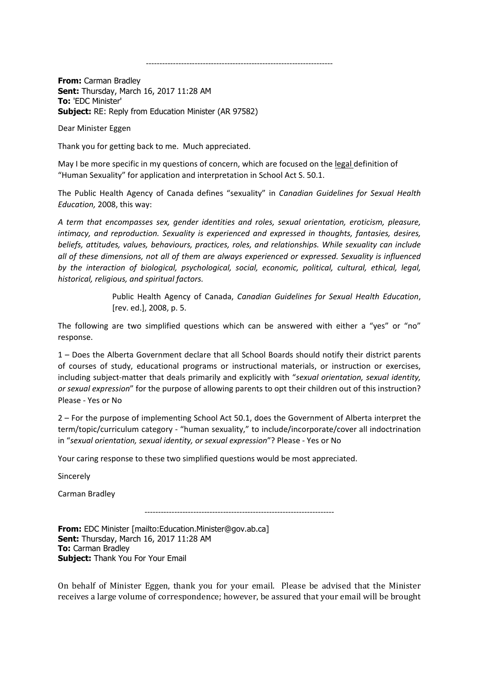---------------------------------------------------------------------

**From:** Carman Bradley **Sent:** Thursday, March 16, 2017 11:28 AM **To:** 'EDC Minister' **Subject:** RE: Reply from Education Minister (AR 97582)

Dear Minister Eggen

Thank you for getting back to me. Much appreciated.

May I be more specific in my questions of concern, which are focused on the legal definition of "Human Sexuality" for application and interpretation in School Act S. 50.1.

The Public Health Agency of Canada defines "sexuality" in *Canadian Guidelines for Sexual Health Education,* 2008, this way:

*A term that encompasses sex, gender identities and roles, sexual orientation, eroticism, pleasure, intimacy, and reproduction. Sexuality is experienced and expressed in thoughts, fantasies, desires, beliefs, attitudes, values, behaviours, practices, roles, and relationships. While sexuality can include all of these dimensions, not all of them are always experienced or expressed. Sexuality is influenced by the interaction of biological, psychological, social, economic, political, cultural, ethical, legal, historical, religious, and spiritual factors.*

> Public Health Agency of Canada, *Canadian Guidelines for Sexual Health Education*, [rev. ed.], 2008, p. 5.

The following are two simplified questions which can be answered with either a "yes" or "no" response.

1 – Does the Alberta Government declare that all School Boards should notify their district parents of courses of study, educational programs or instructional materials, or instruction or exercises, including subject-matter that deals primarily and explicitly with "*sexual orientation, sexual identity, or sexual expression*" for the purpose of allowing parents to opt their children out of this instruction? Please - Yes or No

2 – For the purpose of implementing School Act 50.1, does the Government of Alberta interpret the term/topic/curriculum category - "human sexuality," to include/incorporate/cover all indoctrination in "*sexual orientation, sexual identity, or sexual expression*"? Please - Yes or No

Your caring response to these two simplified questions would be most appreciated.

**Sincerely** 

Carman Bradley

----------------------------------------------------------------------

**From:** EDC Minister [mailto:Education.Minister@gov.ab.ca] **Sent:** Thursday, March 16, 2017 11:28 AM **To:** Carman Bradley **Subject:** Thank You For Your Email

On behalf of Minister Eggen, thank you for your email. Please be advised that the Minister receives a large volume of correspondence; however, be assured that your email will be brought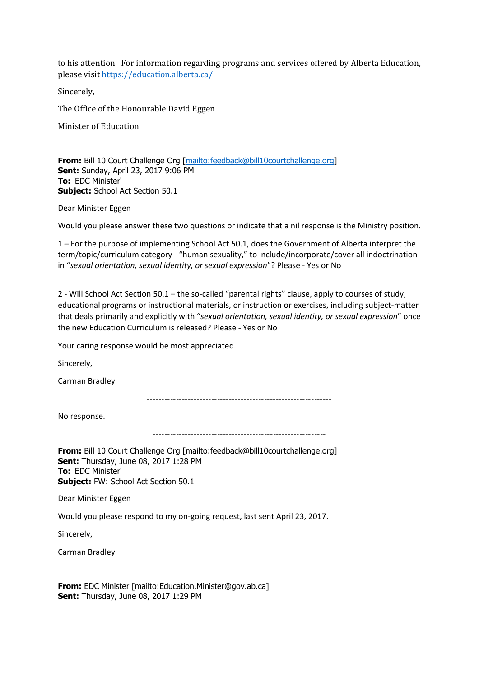to his attention. For information regarding programs and services offered by Alberta Education, please visit [https://education.alberta.ca/.](https://education.alberta.ca/)

Sincerely,

The Office of the Honourable David Eggen

Minister of Education

-------------------------------------------------------------------------

**From:** Bill 10 Court Challenge Org [\[mailto:feedback@bill10courtchallenge.org\]](mailto:feedback@bill10courtchallenge.org) **Sent:** Sunday, April 23, 2017 9:06 PM **To:** 'EDC Minister' **Subject:** School Act Section 50.1

Dear Minister Eggen

Would you please answer these two questions or indicate that a nil response is the Ministry position.

1 – For the purpose of implementing School Act 50.1, does the Government of Alberta interpret the term/topic/curriculum category - "human sexuality," to include/incorporate/cover all indoctrination in "*sexual orientation, sexual identity, or sexual expression*"? Please - Yes or No

2 - Will School Act Section 50.1 – the so-called "parental rights" clause, apply to courses of study, educational programs or instructional materials, or instruction or exercises, including subject-matter that deals primarily and explicitly with "*sexual orientation, sexual identity, or sexual expression*" once the new Education Curriculum is released? Please - Yes or No

Your caring response would be most appreciated.

Sincerely,

Carman Bradley

---------------------------------------------------------------

No response.

-----------------------------------------------------------

**From:** Bill 10 Court Challenge Org [mailto:feedback@bill10courtchallenge.org] **Sent:** Thursday, June 08, 2017 1:28 PM **To:** 'EDC Minister' **Subject:** FW: School Act Section 50.1

Dear Minister Eggen

Would you please respond to my on-going request, last sent April 23, 2017.

Sincerely,

Carman Bradley

-----------------------------------------------------------------

**From:** EDC Minister [mailto:Education.Minister@gov.ab.ca] **Sent:** Thursday, June 08, 2017 1:29 PM